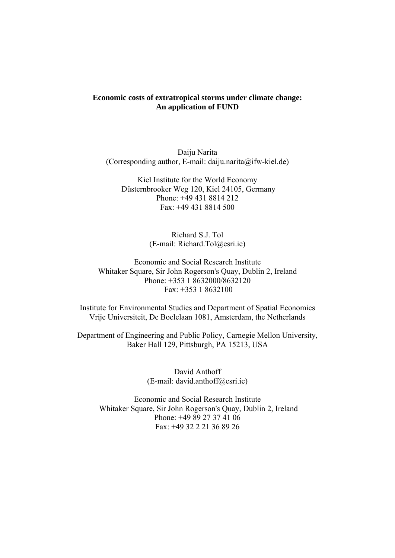## **Economic costs of extratropical storms under climate change: An application of FUND**

Daiju Narita (Corresponding author, E-mail: daiju.narita@ifw-kiel.de)

Kiel Institute for the World Economy Düsternbrooker Weg 120, Kiel 24105, Germany Phone: +49 431 8814 212 Fax: +49 431 8814 500

> Richard S.J. Tol (E-mail: Richard.Tol@esri.ie)

Economic and Social Research Institute Whitaker Square, Sir John Rogerson's Quay, Dublin 2, Ireland Phone: +353 1 8632000/8632120  $Fax + 35318632100$ 

Institute for Environmental Studies and Department of Spatial Economics Vrije Universiteit, De Boelelaan 1081, Amsterdam, the Netherlands

Department of Engineering and Public Policy, Carnegie Mellon University, Baker Hall 129, Pittsburgh, PA 15213, USA

> David Anthoff (E-mail: david.anthoff@esri.ie)

Economic and Social Research Institute Whitaker Square, Sir John Rogerson's Quay, Dublin 2, Ireland Phone: +49 89 27 37 41 06 Fax: +49 32 2 21 36 89 26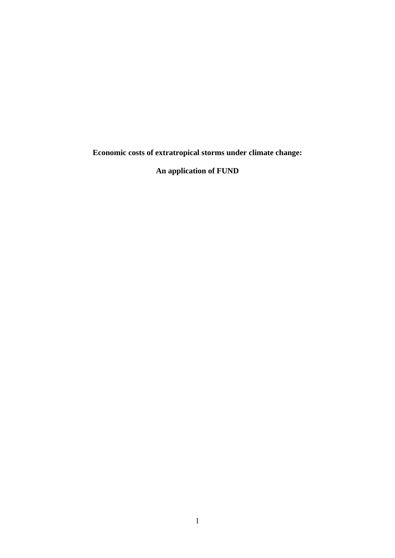**Economic costs of extratropical storms under climate change:** 

**An application of FUND**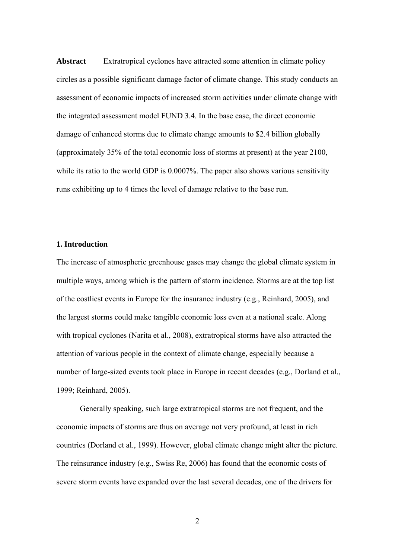**Abstract** Extratropical cyclones have attracted some attention in climate policy circles as a possible significant damage factor of climate change. This study conducts an assessment of economic impacts of increased storm activities under climate change with the integrated assessment model FUND 3.4. In the base case, the direct economic damage of enhanced storms due to climate change amounts to \$2.4 billion globally (approximately 35% of the total economic loss of storms at present) at the year 2100, while its ratio to the world GDP is 0.0007%. The paper also shows various sensitivity runs exhibiting up to 4 times the level of damage relative to the base run.

## **1. Introduction**

The increase of atmospheric greenhouse gases may change the global climate system in multiple ways, among which is the pattern of storm incidence. Storms are at the top list of the costliest events in Europe for the insurance industry (e.g., Reinhard, 2005), and the largest storms could make tangible economic loss even at a national scale. Along with tropical cyclones (Narita et al., 2008), extratropical storms have also attracted the attention of various people in the context of climate change, especially because a number of large-sized events took place in Europe in recent decades (e.g., Dorland et al., 1999; Reinhard, 2005).

Generally speaking, such large extratropical storms are not frequent, and the economic impacts of storms are thus on average not very profound, at least in rich countries (Dorland et al., 1999). However, global climate change might alter the picture. The reinsurance industry (e.g., Swiss Re, 2006) has found that the economic costs of severe storm events have expanded over the last several decades, one of the drivers for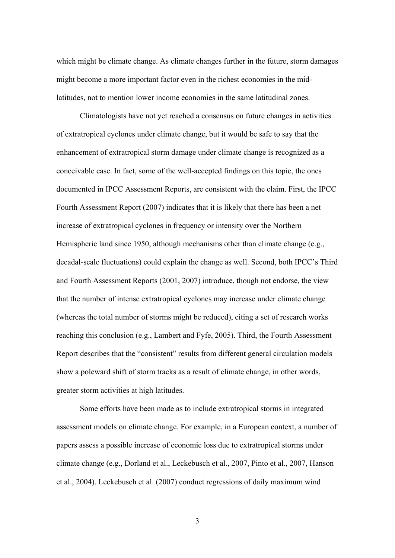which might be climate change. As climate changes further in the future, storm damages might become a more important factor even in the richest economies in the midlatitudes, not to mention lower income economies in the same latitudinal zones.

Climatologists have not yet reached a consensus on future changes in activities of extratropical cyclones under climate change, but it would be safe to say that the enhancement of extratropical storm damage under climate change is recognized as a conceivable case. In fact, some of the well-accepted findings on this topic, the ones documented in IPCC Assessment Reports, are consistent with the claim. First, the IPCC Fourth Assessment Report (2007) indicates that it is likely that there has been a net increase of extratropical cyclones in frequency or intensity over the Northern Hemispheric land since 1950, although mechanisms other than climate change (e.g., decadal-scale fluctuations) could explain the change as well. Second, both IPCC's Third and Fourth Assessment Reports (2001, 2007) introduce, though not endorse, the view that the number of intense extratropical cyclones may increase under climate change (whereas the total number of storms might be reduced), citing a set of research works reaching this conclusion (e.g., Lambert and Fyfe, 2005). Third, the Fourth Assessment Report describes that the "consistent" results from different general circulation models show a poleward shift of storm tracks as a result of climate change, in other words, greater storm activities at high latitudes.

Some efforts have been made as to include extratropical storms in integrated assessment models on climate change. For example, in a European context, a number of papers assess a possible increase of economic loss due to extratropical storms under climate change (e.g., Dorland et al., Leckebusch et al., 2007, Pinto et al., 2007, Hanson et al., 2004). Leckebusch et al. (2007) conduct regressions of daily maximum wind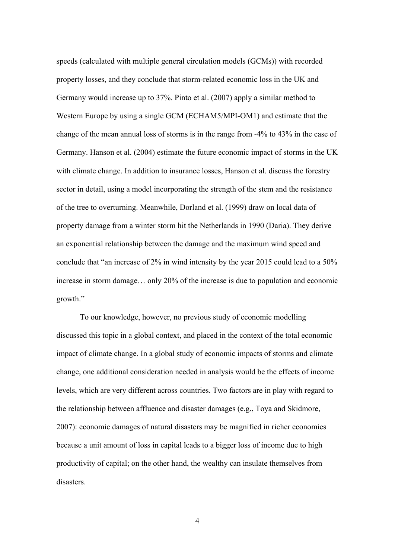speeds (calculated with multiple general circulation models (GCMs)) with recorded property losses, and they conclude that storm-related economic loss in the UK and Germany would increase up to 37%. Pinto et al. (2007) apply a similar method to Western Europe by using a single GCM (ECHAM5/MPI-OM1) and estimate that the change of the mean annual loss of storms is in the range from -4% to 43% in the case of Germany. Hanson et al. (2004) estimate the future economic impact of storms in the UK with climate change. In addition to insurance losses, Hanson et al. discuss the forestry sector in detail, using a model incorporating the strength of the stem and the resistance of the tree to overturning. Meanwhile, Dorland et al. (1999) draw on local data of property damage from a winter storm hit the Netherlands in 1990 (Daria). They derive an exponential relationship between the damage and the maximum wind speed and conclude that "an increase of 2% in wind intensity by the year 2015 could lead to a 50% increase in storm damage… only 20% of the increase is due to population and economic growth."

To our knowledge, however, no previous study of economic modelling discussed this topic in a global context, and placed in the context of the total economic impact of climate change. In a global study of economic impacts of storms and climate change, one additional consideration needed in analysis would be the effects of income levels, which are very different across countries. Two factors are in play with regard to the relationship between affluence and disaster damages (e.g., Toya and Skidmore, 2007): economic damages of natural disasters may be magnified in richer economies because a unit amount of loss in capital leads to a bigger loss of income due to high productivity of capital; on the other hand, the wealthy can insulate themselves from disasters.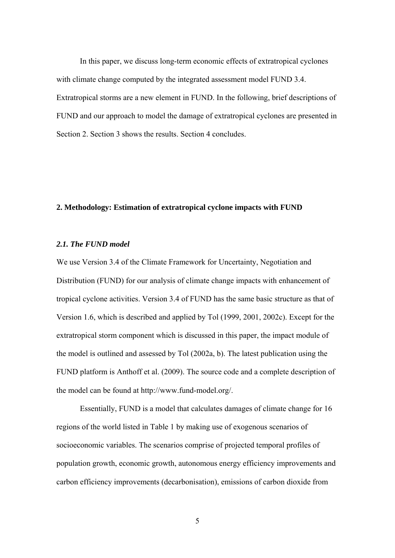In this paper, we discuss long-term economic effects of extratropical cyclones with climate change computed by the integrated assessment model FUND 3.4. Extratropical storms are a new element in FUND. In the following, brief descriptions of FUND and our approach to model the damage of extratropical cyclones are presented in Section 2. Section 3 shows the results. Section 4 concludes.

#### **2. Methodology: Estimation of extratropical cyclone impacts with FUND**

#### *2.1. The FUND model*

We use Version 3.4 of the Climate Framework for Uncertainty, Negotiation and Distribution (FUND) for our analysis of climate change impacts with enhancement of tropical cyclone activities. Version 3.4 of FUND has the same basic structure as that of Version 1.6, which is described and applied by Tol (1999, 2001, 2002c). Except for the extratropical storm component which is discussed in this paper, the impact module of the model is outlined and assessed by Tol (2002a, b). The latest publication using the FUND platform is Anthoff et al. (2009). The source code and a complete description of the model can be found at http://www.fund-model.org/.

Essentially, FUND is a model that calculates damages of climate change for 16 regions of the world listed in Table 1 by making use of exogenous scenarios of socioeconomic variables. The scenarios comprise of projected temporal profiles of population growth, economic growth, autonomous energy efficiency improvements and carbon efficiency improvements (decarbonisation), emissions of carbon dioxide from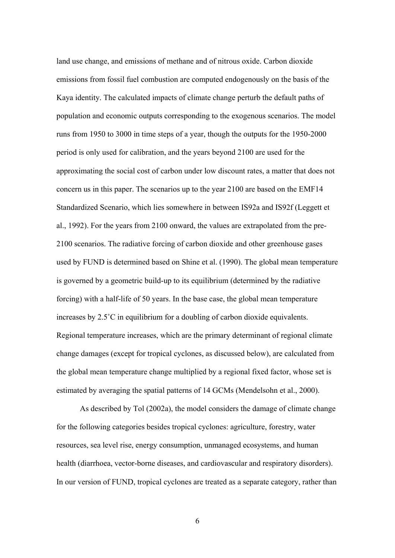land use change, and emissions of methane and of nitrous oxide. Carbon dioxide emissions from fossil fuel combustion are computed endogenously on the basis of the Kaya identity. The calculated impacts of climate change perturb the default paths of population and economic outputs corresponding to the exogenous scenarios. The model runs from 1950 to 3000 in time steps of a year, though the outputs for the 1950-2000 period is only used for calibration, and the years beyond 2100 are used for the approximating the social cost of carbon under low discount rates, a matter that does not concern us in this paper. The scenarios up to the year 2100 are based on the EMF14 Standardized Scenario, which lies somewhere in between IS92a and IS92f (Leggett et al., 1992). For the years from 2100 onward, the values are extrapolated from the pre-2100 scenarios. The radiative forcing of carbon dioxide and other greenhouse gases used by FUND is determined based on Shine et al. (1990). The global mean temperature is governed by a geometric build-up to its equilibrium (determined by the radiative forcing) with a half-life of 50 years. In the base case, the global mean temperature increases by 2.5˚C in equilibrium for a doubling of carbon dioxide equivalents. Regional temperature increases, which are the primary determinant of regional climate change damages (except for tropical cyclones, as discussed below), are calculated from the global mean temperature change multiplied by a regional fixed factor, whose set is estimated by averaging the spatial patterns of 14 GCMs (Mendelsohn et al., 2000).

As described by Tol (2002a), the model considers the damage of climate change for the following categories besides tropical cyclones: agriculture, forestry, water resources, sea level rise, energy consumption, unmanaged ecosystems, and human health (diarrhoea, vector-borne diseases, and cardiovascular and respiratory disorders). In our version of FUND, tropical cyclones are treated as a separate category, rather than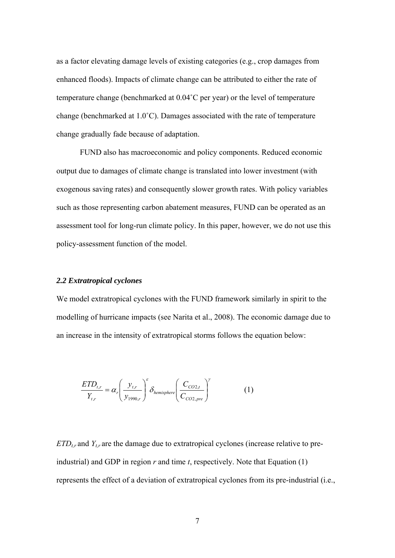as a factor elevating damage levels of existing categories (e.g., crop damages from enhanced floods). Impacts of climate change can be attributed to either the rate of temperature change (benchmarked at 0.04˚C per year) or the level of temperature change (benchmarked at 1.0˚C). Damages associated with the rate of temperature change gradually fade because of adaptation.

FUND also has macroeconomic and policy components. Reduced economic output due to damages of climate change is translated into lower investment (with exogenous saving rates) and consequently slower growth rates. With policy variables such as those representing carbon abatement measures, FUND can be operated as an assessment tool for long-run climate policy. In this paper, however, we do not use this policy-assessment function of the model.

## *2.2 Extratropical cyclones*

We model extratropical cyclones with the FUND framework similarly in spirit to the modelling of hurricane impacts (see Narita et al., 2008). The economic damage due to an increase in the intensity of extratropical storms follows the equation below:

$$
\frac{ETD_{t,r}}{Y_{t,r}} = \alpha_r \left(\frac{y_{t,r}}{y_{1990,r}}\right)^{\varepsilon} \delta_{hemisphere} \left(\frac{C_{CO2,t}}{C_{CO2,pre}}\right)^{\gamma}
$$
 (1)

 $ETD_{tr}$  and  $Y_{tr}$  are the damage due to extratropical cyclones (increase relative to preindustrial) and GDP in region *r* and time *t*, respectively. Note that Equation (1) represents the effect of a deviation of extratropical cyclones from its pre-industrial (i.e.,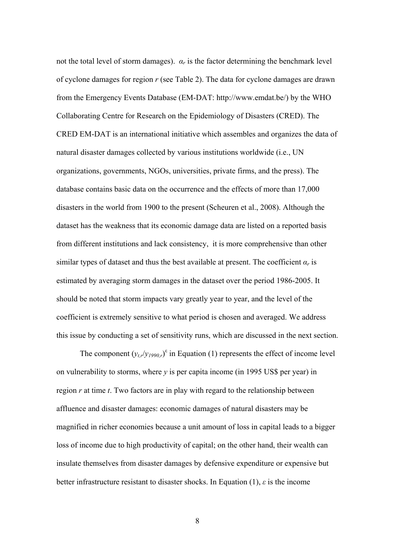not the total level of storm damages).  $\alpha_r$  is the factor determining the benchmark level of cyclone damages for region *r* (see Table 2). The data for cyclone damages are drawn from the Emergency Events Database (EM-DAT: http://www.emdat.be/) by the WHO Collaborating Centre for Research on the Epidemiology of Disasters (CRED). The CRED EM-DAT is an international initiative which assembles and organizes the data of natural disaster damages collected by various institutions worldwide (i.e., UN organizations, governments, NGOs, universities, private firms, and the press). The database contains basic data on the occurrence and the effects of more than 17,000 disasters in the world from 1900 to the present (Scheuren et al., 2008). Although the dataset has the weakness that its economic damage data are listed on a reported basis from different institutions and lack consistency, it is more comprehensive than other similar types of dataset and thus the best available at present. The coefficient  $\alpha_r$  is estimated by averaging storm damages in the dataset over the period 1986-2005. It should be noted that storm impacts vary greatly year to year, and the level of the coefficient is extremely sensitive to what period is chosen and averaged. We address this issue by conducting a set of sensitivity runs, which are discussed in the next section.

The component  $(y_t, y_t/y_t, y_0, y_t)$ <sup>ε</sup> in Equation (1) represents the effect of income level on vulnerability to storms, where *y* is per capita income (in 1995 US\$ per year) in region *r* at time *t*. Two factors are in play with regard to the relationship between affluence and disaster damages: economic damages of natural disasters may be magnified in richer economies because a unit amount of loss in capital leads to a bigger loss of income due to high productivity of capital; on the other hand, their wealth can insulate themselves from disaster damages by defensive expenditure or expensive but better infrastructure resistant to disaster shocks. In Equation (1),  $\varepsilon$  is the income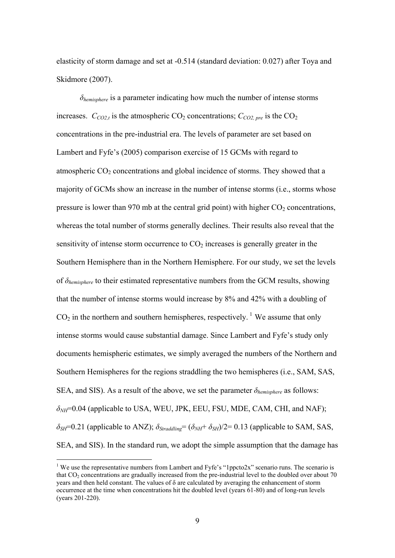<span id="page-9-0"></span>elasticity of storm damage and set at -0.514 (standard deviation: 0.027) after Toya and Skidmore (2007).

*δhemisphere* is a parameter indicating how much the number of intense storms increases.  $C_{CO2,t}$  is the atmospheric  $CO_2$  concentrations;  $C_{CO2, pre}$  is the  $CO_2$ concentrations in the pre-industrial era. The levels of parameter are set based on Lambert and Fyfe's (2005) comparison exercise of 15 GCMs with regard to atmospheric  $CO<sub>2</sub>$  concentrations and global incidence of storms. They showed that a majority of GCMs show an increase in the number of intense storms (i.e., storms whose pressure is lower than 970 mb at the central grid point) with higher  $CO<sub>2</sub>$  concentrations, whereas the total number of storms generally declines. Their results also reveal that the sensitivity of intense storm occurrence to  $CO<sub>2</sub>$  increases is generally greater in the Southern Hemisphere than in the Northern Hemisphere. For our study, we set the levels of *δhemisphere* to their estimated representative numbers from the GCM results, showing that the number of intense storms would increase by 8% and 42% with a doubling of  $CO<sub>2</sub>$  in the northern and southern hemispheres, respectively.<sup>[1](#page-9-0)</sup> We assume that only intense storms would cause substantial damage. Since Lambert and Fyfe's study only documents hemispheric estimates, we simply averaged the numbers of the Northern and Southern Hemispheres for the regions straddling the two hemispheres (i.e., SAM, SAS, SEA, and SIS). As a result of the above, we set the parameter  $\delta_{hemisphere}$  as follows:  $\delta_{NH}$ =0.04 (applicable to USA, WEU, JPK, EEU, FSU, MDE, CAM, CHI, and NAF);  $\delta_{SH}$ =0.21 (applicable to ANZ);  $\delta_{Straddline}$ = ( $\delta_{NH}$ + $\delta_{SH}$ )/2= 0.13 (applicable to SAM, SAS, SEA, and SIS). In the standard run, we adopt the simple assumption that the damage has

<sup>&</sup>lt;sup>1</sup> We use the representative numbers from Lambert and Fyfe's "1ppcto2x" scenario runs. The scenario is that  $CO<sub>2</sub>$  concentrations are gradually increased from the pre-industrial level to the doubled over about 70 years and then held constant. The values of  $\delta$  are calculated by averaging the enhancement of storm occurrence at the time when concentrations hit the doubled level (years 61-80) and of long-run levels (years 201-220).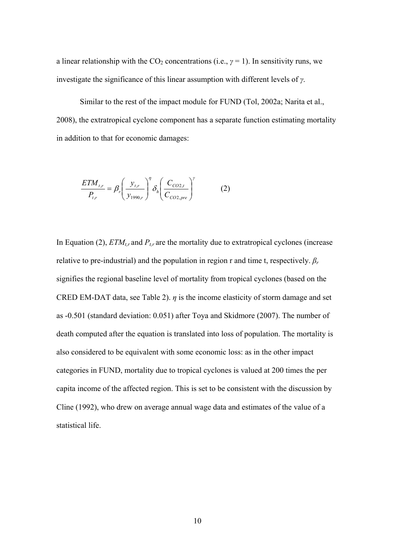a linear relationship with the  $CO_2$  concentrations (i.e.,  $\gamma = 1$ ). In sensitivity runs, we investigate the significance of this linear assumption with different levels of *γ*.

Similar to the rest of the impact module for FUND (Tol, 2002a; Narita et al., 2008), the extratropical cyclone component has a separate function estimating mortality in addition to that for economic damages:

$$
\frac{ETM_{t,r}}{P_{t,r}} = \beta_r \left( \frac{y_{t,r}}{y_{1990,r}} \right)^{\eta} \delta_h \left( \frac{C_{CO2,t}}{C_{CO2,pre}} \right)^{\gamma}
$$
 (2)

In Equation (2),  $ETM_{tr}$  and  $P_{tr}$  are the mortality due to extratropical cyclones (increase relative to pre-industrial) and the population in region r and time t, respectively.  $\beta_r$ signifies the regional baseline level of mortality from tropical cyclones (based on the CRED EM-DAT data, see Table 2).  $\eta$  is the income elasticity of storm damage and set as -0.501 (standard deviation: 0.051) after Toya and Skidmore (2007). The number of death computed after the equation is translated into loss of population. The mortality is also considered to be equivalent with some economic loss: as in the other impact categories in FUND, mortality due to tropical cyclones is valued at 200 times the per capita income of the affected region. This is set to be consistent with the discussion by Cline (1992), who drew on average annual wage data and estimates of the value of a statistical life.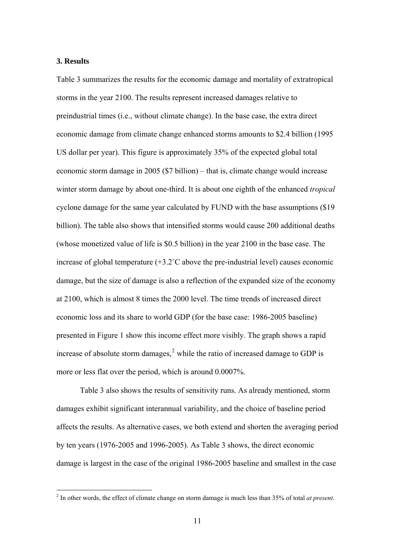#### <span id="page-11-0"></span>**3. Results**

<u>.</u>

Table 3 summarizes the results for the economic damage and mortality of extratropical storms in the year 2100. The results represent increased damages relative to preindustrial times (i.e., without climate change). In the base case, the extra direct economic damage from climate change enhanced storms amounts to \$2.4 billion (1995 US dollar per year). This figure is approximately 35% of the expected global total economic storm damage in 2005 (\$7 billion) – that is, climate change would increase winter storm damage by about one-third. It is about one eighth of the enhanced *tropical* cyclone damage for the same year calculated by FUND with the base assumptions (\$19 billion). The table also shows that intensified storms would cause 200 additional deaths (whose monetized value of life is \$0.5 billion) in the year 2100 in the base case. The increase of global temperature (+3.2˚C above the pre-industrial level) causes economic damage, but the size of damage is also a reflection of the expanded size of the economy at 2100, which is almost 8 times the 2000 level. The time trends of increased direct economic loss and its share to world GDP (for the base case: 1986-2005 baseline) presented in Figure 1 show this income effect more visibly. The graph shows a rapid increase of absolute storm damages, $<sup>2</sup>$  $<sup>2</sup>$  $<sup>2</sup>$  while the ratio of increased damage to GDP is</sup> more or less flat over the period, which is around 0.0007%.

Table 3 also shows the results of sensitivity runs. As already mentioned, storm damages exhibit significant interannual variability, and the choice of baseline period affects the results. As alternative cases, we both extend and shorten the averaging period by ten years (1976-2005 and 1996-2005). As Table 3 shows, the direct economic damage is largest in the case of the original 1986-2005 baseline and smallest in the case

<sup>2</sup> In other words, the effect of climate change on storm damage is much less than 35% of total *at present*.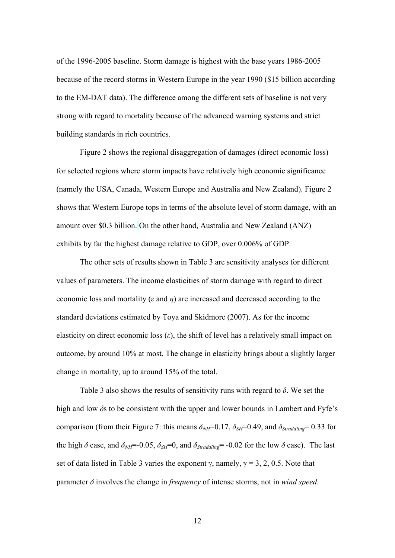of the 1996-2005 baseline. Storm damage is highest with the base years 1986-2005 because of the record storms in Western Europe in the year 1990 (\$15 billion according to the EM-DAT data). The difference among the different sets of baseline is not very strong with regard to mortality because of the advanced warning systems and strict building standards in rich countries.

Figure 2 shows the regional disaggregation of damages (direct economic loss) for selected regions where storm impacts have relatively high economic significance (namely the USA, Canada, Western Europe and Australia and New Zealand). Figure 2 shows that Western Europe tops in terms of the absolute level of storm damage, with an amount over \$0.3 billion. On the other hand, Australia and New Zealand (ANZ) exhibits by far the highest damage relative to GDP, over 0.006% of GDP.

The other sets of results shown in Table 3 are sensitivity analyses for different values of parameters. The income elasticities of storm damage with regard to direct economic loss and mortality (*ε* and *η*) are increased and decreased according to the standard deviations estimated by Toya and Skidmore (2007). As for the income elasticity on direct economic loss (*ε*), the shift of level has a relatively small impact on outcome, by around 10% at most. The change in elasticity brings about a slightly larger change in mortality, up to around 15% of the total.

Table 3 also shows the results of sensitivity runs with regard to *δ*. We set the high and low *δ*s to be consistent with the upper and lower bounds in Lambert and Fyfe's comparison (from their Figure 7: this means  $\delta_{NH}$ =0.17,  $\delta_{SH}$ =0.49, and  $\delta_{Straddline}$ =0.33 for the high  $\delta$  case, and  $\delta_{NH} = -0.05$ ,  $\delta_{SH} = 0$ , and  $\delta_{\text{Straddling}} = -0.02$  for the low  $\delta$  case). The last set of data listed in Table 3 varies the exponent  $\gamma$ , namely,  $\gamma = 3, 2, 0.5$ . Note that parameter *δ* involves the change in *frequency* of intense storms, not in *wind speed*.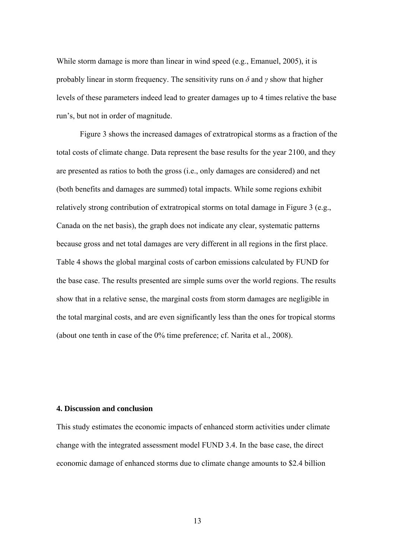While storm damage is more than linear in wind speed (e.g., Emanuel, 2005), it is probably linear in storm frequency. The sensitivity runs on  $\delta$  and  $\gamma$  show that higher levels of these parameters indeed lead to greater damages up to 4 times relative the base run's, but not in order of magnitude.

Figure 3 shows the increased damages of extratropical storms as a fraction of the total costs of climate change. Data represent the base results for the year 2100, and they are presented as ratios to both the gross (i.e., only damages are considered) and net (both benefits and damages are summed) total impacts. While some regions exhibit relatively strong contribution of extratropical storms on total damage in Figure 3 (e.g., Canada on the net basis), the graph does not indicate any clear, systematic patterns because gross and net total damages are very different in all regions in the first place. Table 4 shows the global marginal costs of carbon emissions calculated by FUND for the base case. The results presented are simple sums over the world regions. The results show that in a relative sense, the marginal costs from storm damages are negligible in the total marginal costs, and are even significantly less than the ones for tropical storms (about one tenth in case of the 0% time preference; cf. Narita et al., 2008).

#### **4. Discussion and conclusion**

This study estimates the economic impacts of enhanced storm activities under climate change with the integrated assessment model FUND 3.4. In the base case, the direct economic damage of enhanced storms due to climate change amounts to \$2.4 billion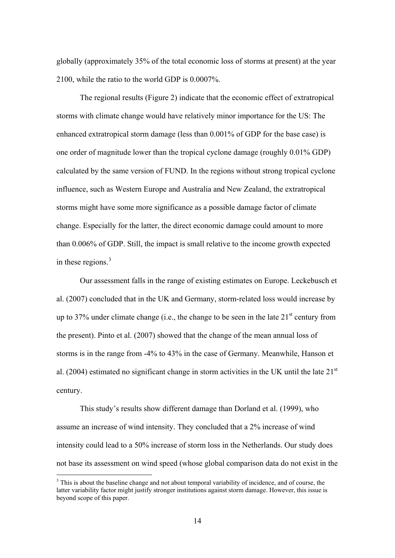<span id="page-14-0"></span>globally (approximately 35% of the total economic loss of storms at present) at the year 2100, while the ratio to the world GDP is 0.0007%.

The regional results (Figure 2) indicate that the economic effect of extratropical storms with climate change would have relatively minor importance for the US: The enhanced extratropical storm damage (less than 0.001% of GDP for the base case) is one order of magnitude lower than the tropical cyclone damage (roughly 0.01% GDP) calculated by the same version of FUND. In the regions without strong tropical cyclone influence, such as Western Europe and Australia and New Zealand, the extratropical storms might have some more significance as a possible damage factor of climate change. Especially for the latter, the direct economic damage could amount to more than 0.006% of GDP. Still, the impact is small relative to the income growth expected in these regions. $3$ 

Our assessment falls in the range of existing estimates on Europe. Leckebusch et al. (2007) concluded that in the UK and Germany, storm-related loss would increase by up to 37% under climate change (i.e., the change to be seen in the late  $21<sup>st</sup>$  century from the present). Pinto et al. (2007) showed that the change of the mean annual loss of storms is in the range from -4% to 43% in the case of Germany. Meanwhile, Hanson et al. (2004) estimated no significant change in storm activities in the UK until the late  $21<sup>st</sup>$ century.

This study's results show different damage than Dorland et al. (1999), who assume an increase of wind intensity. They concluded that a 2% increase of wind intensity could lead to a 50% increase of storm loss in the Netherlands. Our study does not base its assessment on wind speed (whose global comparison data do not exist in the

<sup>&</sup>lt;sup>3</sup> This is about the baseline change and not about temporal variability of incidence, and of course, the latter variability factor might justify stronger institutions against storm damage. However, this issue is beyond scope of this paper.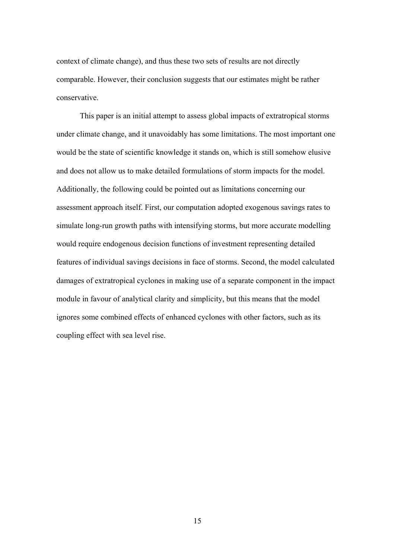context of climate change), and thus these two sets of results are not directly comparable. However, their conclusion suggests that our estimates might be rather conservative.

This paper is an initial attempt to assess global impacts of extratropical storms under climate change, and it unavoidably has some limitations. The most important one would be the state of scientific knowledge it stands on, which is still somehow elusive and does not allow us to make detailed formulations of storm impacts for the model. Additionally, the following could be pointed out as limitations concerning our assessment approach itself. First, our computation adopted exogenous savings rates to simulate long-run growth paths with intensifying storms, but more accurate modelling would require endogenous decision functions of investment representing detailed features of individual savings decisions in face of storms. Second, the model calculated damages of extratropical cyclones in making use of a separate component in the impact module in favour of analytical clarity and simplicity, but this means that the model ignores some combined effects of enhanced cyclones with other factors, such as its coupling effect with sea level rise.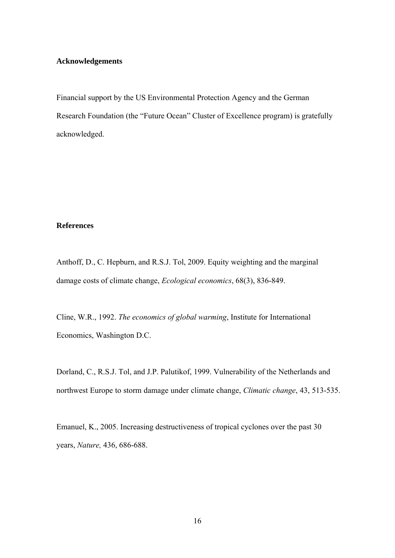### **Acknowledgements**

Financial support by the US Environmental Protection Agency and the German Research Foundation (the "Future Ocean" Cluster of Excellence program) is gratefully acknowledged.

# **References**

Anthoff, D., C. Hepburn, and R.S.J. Tol, 2009. Equity weighting and the marginal damage costs of climate change, *Ecological economics*, 68(3), 836-849.

Cline, W.R., 1992. *The economics of global warming*, Institute for International Economics, Washington D.C.

Dorland, C., R.S.J. Tol, and J.P. Palutikof, 1999. Vulnerability of the Netherlands and northwest Europe to storm damage under climate change, *Climatic change*, 43, 513-535.

Emanuel, K., 2005. Increasing destructiveness of tropical cyclones over the past 30 years, *Nature,* 436, 686-688.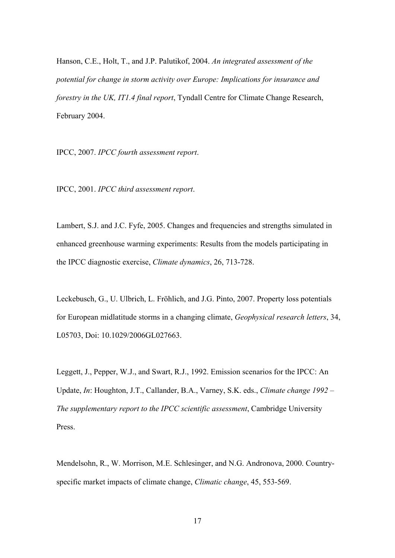Hanson, C.E., Holt, T., and J.P. Palutikof, 2004. *An integrated assessment of the potential for change in storm activity over Europe: Implications for insurance and forestry in the UK, IT1.4 final report*, Tyndall Centre for Climate Change Research, February 2004.

IPCC, 2007. *IPCC fourth assessment report*.

IPCC, 2001. *IPCC third assessment report*.

Lambert, S.J. and J.C. Fyfe, 2005. Changes and frequencies and strengths simulated in enhanced greenhouse warming experiments: Results from the models participating in the IPCC diagnostic exercise, *Climate dynamics*, 26, 713-728.

Leckebusch, G., U. Ulbrich, L. Fröhlich, and J.G. Pinto, 2007. Property loss potentials for European midlatitude storms in a changing climate, *Geophysical research letters*, 34, L05703, Doi: 10.1029/2006GL027663.

Leggett, J., Pepper, W.J., and Swart, R.J., 1992. Emission scenarios for the IPCC: An Update, *In*: Houghton, J.T., Callander, B.A., Varney, S.K. eds., *Climate change 1992 – The supplementary report to the IPCC scientific assessment*, Cambridge University Press.

Mendelsohn, R., W. Morrison, M.E. Schlesinger, and N.G. Andronova, 2000. Countryspecific market impacts of climate change, *Climatic change*, 45, 553-569.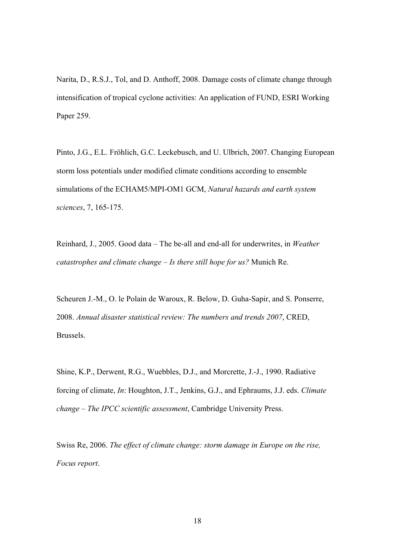Narita, D., R.S.J., Tol, and D. Anthoff, 2008. Damage costs of climate change through intensification of tropical cyclone activities: An application of FUND, ESRI Working Paper 259.

Pinto, J.G., E.L. Fröhlich, G.C. Leckebusch, and U. Ulbrich, 2007. Changing European storm loss potentials under modified climate conditions according to ensemble simulations of the ECHAM5/MPI-OM1 GCM, *Natural hazards and earth system sciences*, 7, 165-175.

Reinhard, J., 2005. Good data – The be-all and end-all for underwrites, in *Weather catastrophes and climate change – Is there still hope for us?* Munich Re.

Scheuren J.-M., O. le Polain de Waroux, R. Below, D. Guha-Sapir, and S. Ponserre, 2008. *Annual disaster statistical review: The numbers and trends 2007*, CRED, Brussels.

Shine, K.P., Derwent, R.G., Wuebbles, D.J., and Morcrette, J.-J., 1990. Radiative forcing of climate, *In*: Houghton, J.T., Jenkins, G.J., and Ephraums, J.J. eds. *Climate change – The IPCC scientific assessment*, Cambridge University Press.

Swiss Re, 2006. *The effect of climate change: storm damage in Europe on the rise, Focus report*.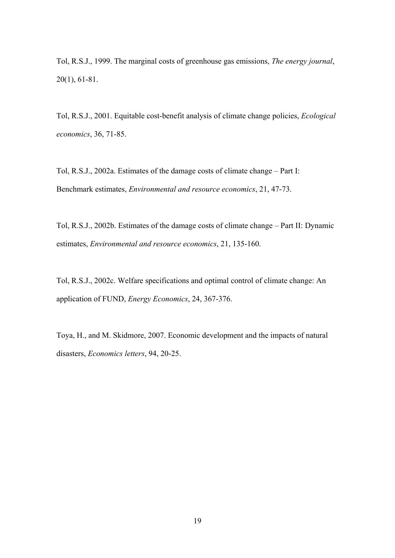Tol, R.S.J., 1999. The marginal costs of greenhouse gas emissions, *The energy journal*, 20(1), 61-81.

Tol, R.S.J., 2001. Equitable cost-benefit analysis of climate change policies, *Ecological economics*, 36, 71-85.

Tol, R.S.J., 2002a. Estimates of the damage costs of climate change – Part I: Benchmark estimates, *Environmental and resource economics*, 21, 47-73.

Tol, R.S.J., 2002b. Estimates of the damage costs of climate change – Part II: Dynamic estimates, *Environmental and resource economics*, 21, 135-160.

Tol, R.S.J., 2002c. Welfare specifications and optimal control of climate change: An application of FUND, *Energy Economics*, 24, 367-376.

Toya, H., and M. Skidmore, 2007. Economic development and the impacts of natural disasters, *Economics letters*, 94, 20-25.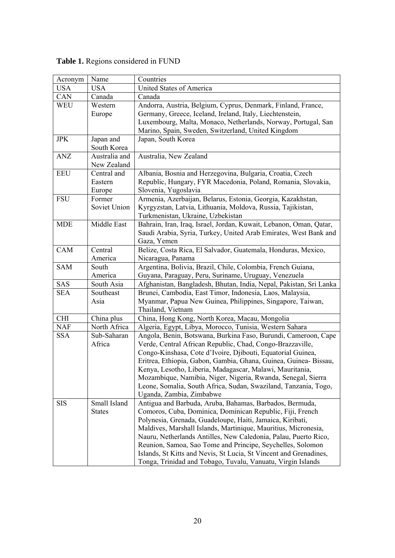| Acronym    | Name              | Countries                                                                                                              |
|------------|-------------------|------------------------------------------------------------------------------------------------------------------------|
| <b>USA</b> | <b>USA</b>        | United States of America                                                                                               |
| CAN        | Canada            | Canada                                                                                                                 |
| WEU        | Western           | Andorra, Austria, Belgium, Cyprus, Denmark, Finland, France,                                                           |
|            | Europe            | Germany, Greece, Iceland, Ireland, Italy, Liechtenstein,                                                               |
|            |                   | Luxembourg, Malta, Monaco, Netherlands, Norway, Portugal, San                                                          |
|            |                   | Marino, Spain, Sweden, Switzerland, United Kingdom                                                                     |
| <b>JPK</b> | Japan and         | Japan, South Korea                                                                                                     |
|            | South Korea       |                                                                                                                        |
| <b>ANZ</b> | Australia and     | Australia, New Zealand                                                                                                 |
|            | New Zealand       |                                                                                                                        |
| <b>EEU</b> | Central and       | Albania, Bosnia and Herzegovina, Bulgaria, Croatia, Czech                                                              |
|            | Eastern           | Republic, Hungary, FYR Macedonia, Poland, Romania, Slovakia,                                                           |
|            | Europe            | Slovenia, Yugoslavia                                                                                                   |
| <b>FSU</b> | Former            | Armenia, Azerbaijan, Belarus, Estonia, Georgia, Kazakhstan,                                                            |
|            | Soviet Union      | Kyrgyzstan, Latvia, Lithuania, Moldova, Russia, Tajikistan,                                                            |
|            |                   | Turkmenistan, Ukraine, Uzbekistan                                                                                      |
| <b>MDE</b> | Middle East       | Bahrain, Iran, Iraq, Israel, Jordan, Kuwait, Lebanon, Oman, Qatar,                                                     |
|            |                   | Saudi Arabia, Syria, Turkey, United Arab Emirates, West Bank and                                                       |
|            |                   | Gaza, Yemen                                                                                                            |
| CAM        | Central           | Belize, Costa Rica, El Salvador, Guatemala, Honduras, Mexico,                                                          |
|            | America           | Nicaragua, Panama                                                                                                      |
| <b>SAM</b> | South             | Argentina, Bolivia, Brazil, Chile, Colombia, French Guiana,                                                            |
|            | America           | Guyana, Paraguay, Peru, Suriname, Uruguay, Venezuela                                                                   |
| SAS        | South Asia        | Afghanistan, Bangladesh, Bhutan, India, Nepal, Pakistan, Sri Lanka                                                     |
| <b>SEA</b> | Southeast<br>Asia | Brunei, Cambodia, East Timor, Indonesia, Laos, Malaysia,<br>Myanmar, Papua New Guinea, Philippines, Singapore, Taiwan, |
|            |                   | Thailand, Vietnam                                                                                                      |
| <b>CHI</b> | China plus        | China, Hong Kong, North Korea, Macau, Mongolia                                                                         |
| <b>NAF</b> | North Africa      | Algeria, Egypt, Libya, Morocco, Tunisia, Western Sahara                                                                |
| <b>SSA</b> | Sub-Saharan       | Angola, Benin, Botswana, Burkina Faso, Burundi, Cameroon, Cape                                                         |
|            | Africa            | Verde, Central African Republic, Chad, Congo-Brazzaville,                                                              |
|            |                   | Congo-Kinshasa, Cote d'Ivoire, Djibouti, Equatorial Guinea,                                                            |
|            |                   | Eritrea, Ethiopia, Gabon, Gambia, Ghana, Guinea, Guinea-Bissau,                                                        |
|            |                   | Kenya, Lesotho, Liberia, Madagascar, Malawi, Mauritania,                                                               |
|            |                   | Mozambique, Namibia, Niger, Nigeria, Rwanda, Senegal, Sierra                                                           |
|            |                   | Leone, Somalia, South Africa, Sudan, Swaziland, Tanzania, Togo,                                                        |
|            |                   | Uganda, Zambia, Zimbabwe                                                                                               |
| <b>SIS</b> | Small Island      | Antigua and Barbuda, Aruba, Bahamas, Barbados, Bermuda,                                                                |
|            | <b>States</b>     | Comoros, Cuba, Dominica, Dominican Republic, Fiji, French                                                              |
|            |                   | Polynesia, Grenada, Guadeloupe, Haiti, Jamaica, Kiribati,                                                              |
|            |                   | Maldives, Marshall Islands, Martinique, Mauritius, Micronesia,                                                         |
|            |                   | Nauru, Netherlands Antilles, New Caledonia, Palau, Puerto Rico,                                                        |
|            |                   | Reunion, Samoa, Sao Tome and Principe, Seychelles, Solomon                                                             |
|            |                   | Islands, St Kitts and Nevis, St Lucia, St Vincent and Grenadines,                                                      |
|            |                   | Tonga, Trinidad and Tobago, Tuvalu, Vanuatu, Virgin Islands                                                            |

**Table 1.** Regions considered in FUND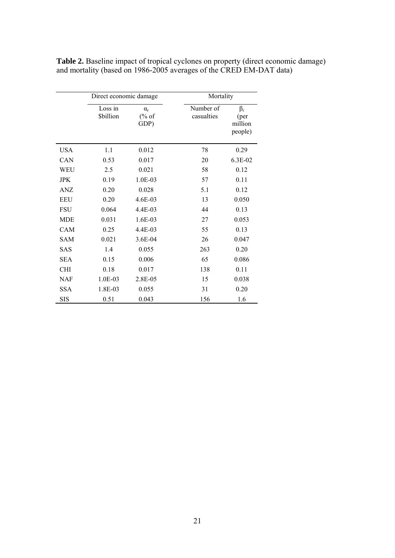|            | Direct economic damage     |                              | Mortality               |                                               |  |
|------------|----------------------------|------------------------------|-------------------------|-----------------------------------------------|--|
|            | Loss in<br><b>Sbillion</b> | $\alpha_{r}$<br>% of<br>GDP) | Number of<br>casualties | $\beta_{\rm r}$<br>(per<br>million<br>people) |  |
| <b>USA</b> | 1.1                        | 0.012                        | 78                      | 0.29                                          |  |
| CAN        | 0.53                       | 0.017                        | 20                      | 6.3E-02                                       |  |
| WEU        | 2.5                        | 0.021                        | 58                      | 0.12                                          |  |
| <b>JPK</b> | 0.19                       | 1.0E-03                      | 57                      | 0.11                                          |  |
| ANZ        | 0.20                       | 0.028                        | 5.1                     | 0.12                                          |  |
| <b>EEU</b> | 0.20                       | 4.6E-03                      | 13                      | 0.050                                         |  |
| FSU        | 0.064                      | 4.4E-03                      | 44                      | 0.13                                          |  |
| <b>MDE</b> | 0.031                      | 1.6E-03                      | 27                      | 0.053                                         |  |
| CAM        | 0.25                       | 4.4E-03                      | 55                      | 0.13                                          |  |
| <b>SAM</b> | 0.021                      | 3.6E-04                      | 26                      | 0.047                                         |  |
| SAS        | 1.4                        | 0.055                        | 263                     | 0.20                                          |  |
| <b>SEA</b> | 0.15                       | 0.006                        | 65                      | 0.086                                         |  |
| <b>CHI</b> | 0.18                       | 0.017                        | 138                     | 0.11                                          |  |
| <b>NAF</b> | 1.0E-03                    | 2.8E-05                      | 15                      | 0.038                                         |  |
| <b>SSA</b> | 1.8E-03                    | 0.055                        | 31                      | 0.20                                          |  |
| <b>SIS</b> | 0.51                       | 0.043                        | 156                     | 1.6                                           |  |

**Table 2.** Baseline impact of tropical cyclones on property (direct economic damage) and mortality (based on 1986-2005 averages of the CRED EM-DAT data)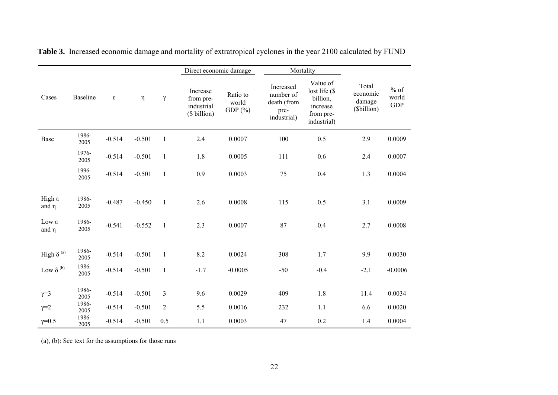|                                  |               |                         |          |                | Direct economic damage                              |                                 | Mortality                                                    |                                                                               |                                            |                               |
|----------------------------------|---------------|-------------------------|----------|----------------|-----------------------------------------------------|---------------------------------|--------------------------------------------------------------|-------------------------------------------------------------------------------|--------------------------------------------|-------------------------------|
| Cases                            | Baseline      | $\boldsymbol{\epsilon}$ | $\eta$   | $\gamma$       | Increase<br>from pre-<br>industrial<br>(\$ billion) | Ratio to<br>world<br>GDP $(\%)$ | Increased<br>number of<br>death (from<br>pre-<br>industrial) | Value of<br>lost life (\$<br>billion,<br>increase<br>from pre-<br>industrial) | Total<br>economic<br>damage<br>(\$billion) | $%$ of<br>world<br><b>GDP</b> |
| Base                             | 1986-<br>2005 | $-0.514$                | $-0.501$ | $\mathbf{1}$   | 2.4                                                 | 0.0007                          | 100                                                          | 0.5                                                                           | 2.9                                        | 0.0009                        |
|                                  | 1976-<br>2005 | $-0.514$                | $-0.501$ | $\mathbf{1}$   | 1.8                                                 | 0.0005                          | 111                                                          | 0.6                                                                           | 2.4                                        | 0.0007                        |
|                                  | 1996-<br>2005 | $-0.514$                | $-0.501$ | $\mathbf{1}$   | 0.9                                                 | 0.0003                          | 75                                                           | 0.4                                                                           | 1.3                                        | 0.0004                        |
| High $\varepsilon$<br>and $\eta$ | 1986-<br>2005 | $-0.487$                | $-0.450$ | $\mathbf{1}$   | 2.6                                                 | 0.0008                          | 115                                                          | 0.5                                                                           | 3.1                                        | 0.0009                        |
| $Low \varepsilon$<br>and $\eta$  | 1986-<br>2005 | $-0.541$                | $-0.552$ | $\mathbf{1}$   | 2.3                                                 | 0.0007                          | 87                                                           | 0.4                                                                           | 2.7                                        | 0.0008                        |
| High $\delta^{(a)}$              | 1986-<br>2005 | $-0.514$                | $-0.501$ | $\mathbf{1}$   | 8.2                                                 | 0.0024                          | 308                                                          | 1.7                                                                           | 9.9                                        | 0.0030                        |
| Low $\delta^{(b)}$               | 1986-<br>2005 | $-0.514$                | $-0.501$ | $\mathbf{1}$   | $-1.7$                                              | $-0.0005$                       | $-50$                                                        | $-0.4$                                                                        | $-2.1$                                     | $-0.0006$                     |
| $\gamma = 3$                     | 1986-<br>2005 | $-0.514$                | $-0.501$ | $\mathfrak{Z}$ | 9.6                                                 | 0.0029                          | 409                                                          | 1.8                                                                           | 11.4                                       | 0.0034                        |
| $\gamma=2$                       | 1986-<br>2005 | $-0.514$                | $-0.501$ | $\sqrt{2}$     | 5.5                                                 | 0.0016                          | 232                                                          | 1.1                                                                           | 6.6                                        | 0.0020                        |
| $\gamma = 0.5$                   | 1986-<br>2005 | $-0.514$                | $-0.501$ | 0.5            | 1.1                                                 | 0.0003                          | 47                                                           | 0.2                                                                           | 1.4                                        | 0.0004                        |

**Table 3.** Increased economic damage and mortality of extratropical cyclones in the year 2100 calculated by FUND

(a), (b): See text for the assumptions for those runs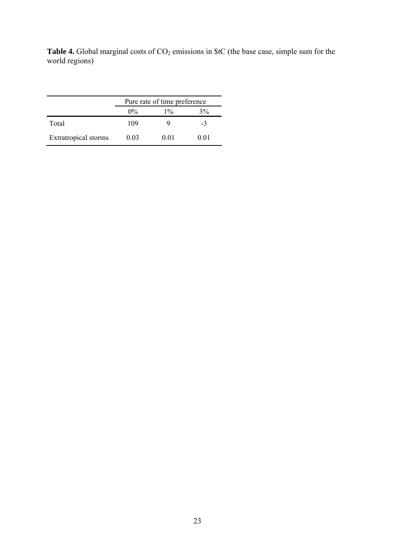Table 4. Global marginal costs of CO<sub>2</sub> emissions in \$tC (the base case, simple sum for the world regions)

|                             | Pure rate of time preference |       |      |  |
|-----------------------------|------------------------------|-------|------|--|
|                             | $0\%$                        | $1\%$ | 3%   |  |
| Total                       | 109                          |       | $-3$ |  |
| <b>Extratropical</b> storms | 0.03                         | 0.01  | 0.01 |  |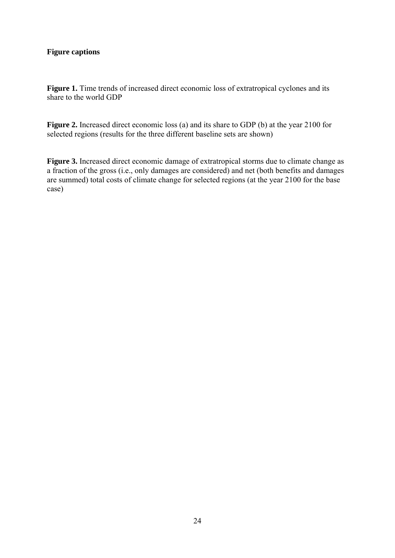# **Figure captions**

Figure 1. Time trends of increased direct economic loss of extratropical cyclones and its share to the world GDP

**Figure 2.** Increased direct economic loss (a) and its share to GDP (b) at the year 2100 for selected regions (results for the three different baseline sets are shown)

**Figure 3.** Increased direct economic damage of extratropical storms due to climate change as a fraction of the gross (i.e., only damages are considered) and net (both benefits and damages are summed) total costs of climate change for selected regions (at the year 2100 for the base case)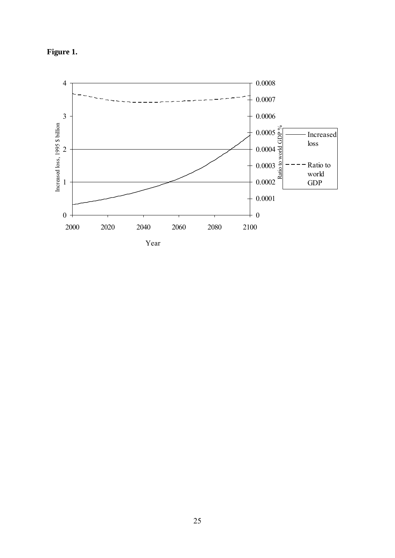**Figure 1.**



Year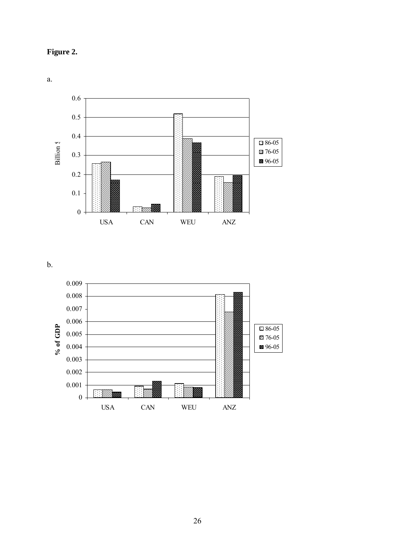

a.



b.